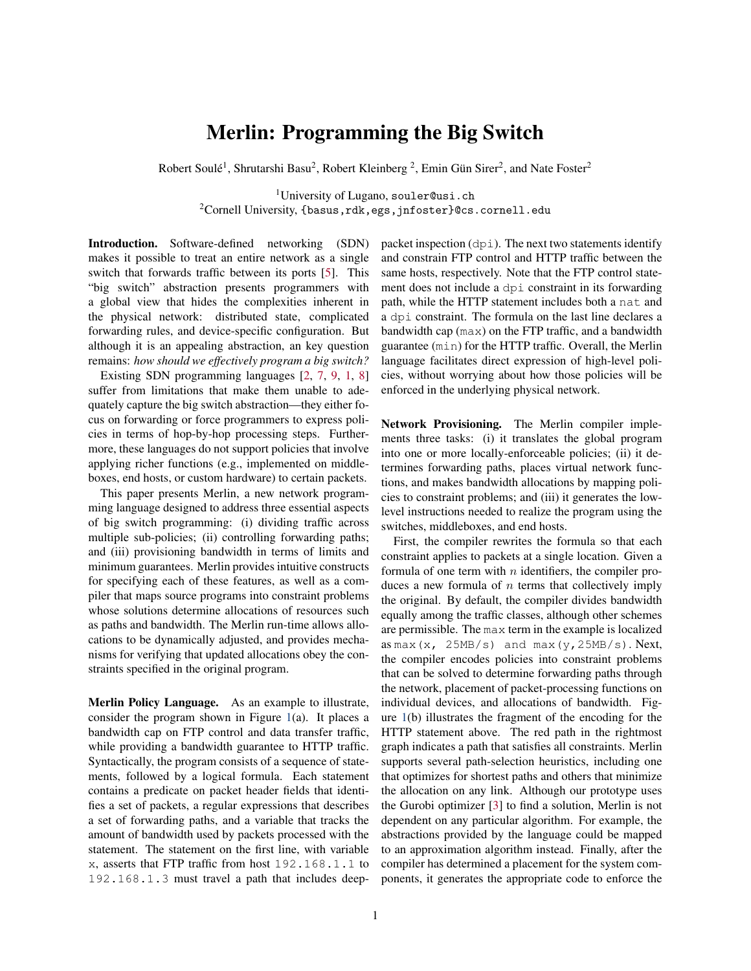## Merlin: Programming the Big Switch

Robert Soulé<sup>1</sup>, Shrutarshi Basu<sup>2</sup>, Robert Kleinberg<sup>2</sup>, Emin Gün Sirer<sup>2</sup>, and Nate Foster<sup>2</sup>

<sup>1</sup>University of Lugano, souler@usi.ch  $2$ Cornell University, {basus,rdk,egs,jnfoster}@cs.cornell.edu

Introduction. Software-defined networking (SDN) makes it possible to treat an entire network as a single switch that forwards traffic between its ports [\[5\]](#page-1-0). This "big switch" abstraction presents programmers with a global view that hides the complexities inherent in the physical network: distributed state, complicated forwarding rules, and device-specific configuration. But although it is an appealing abstraction, an key question remains: *how should we effectively program a big switch?*

Existing SDN programming languages [\[2,](#page-1-1) [7,](#page-1-2) [9,](#page-1-3) [1,](#page-1-4) [8\]](#page-1-5) suffer from limitations that make them unable to adequately capture the big switch abstraction—they either focus on forwarding or force programmers to express policies in terms of hop-by-hop processing steps. Furthermore, these languages do not support policies that involve applying richer functions (e.g., implemented on middleboxes, end hosts, or custom hardware) to certain packets.

This paper presents Merlin, a new network programming language designed to address three essential aspects of big switch programming: (i) dividing traffic across multiple sub-policies; (ii) controlling forwarding paths; and (iii) provisioning bandwidth in terms of limits and minimum guarantees. Merlin provides intuitive constructs for specifying each of these features, as well as a compiler that maps source programs into constraint problems whose solutions determine allocations of resources such as paths and bandwidth. The Merlin run-time allows allocations to be dynamically adjusted, and provides mechanisms for verifying that updated allocations obey the constraints specified in the original program.

Merlin Policy Language. As an example to illustrate, consider the program shown in Figure [1\(](#page-1-6)a). It places a bandwidth cap on FTP control and data transfer traffic, while providing a bandwidth guarantee to HTTP traffic. Syntactically, the program consists of a sequence of statements, followed by a logical formula. Each statement contains a predicate on packet header fields that identifies a set of packets, a regular expressions that describes a set of forwarding paths, and a variable that tracks the amount of bandwidth used by packets processed with the statement. The statement on the first line, with variable x, asserts that FTP traffic from host 192.168.1.1 to 192.168.1.3 must travel a path that includes deeppacket inspection (dpi). The next two statements identify and constrain FTP control and HTTP traffic between the same hosts, respectively. Note that the FTP control statement does not include a dpi constraint in its forwarding path, while the HTTP statement includes both a nat and a dpi constraint. The formula on the last line declares a bandwidth cap (max) on the FTP traffic, and a bandwidth guarantee (min) for the HTTP traffic. Overall, the Merlin language facilitates direct expression of high-level policies, without worrying about how those policies will be enforced in the underlying physical network.

Network Provisioning. The Merlin compiler implements three tasks: (i) it translates the global program into one or more locally-enforceable policies; (ii) it determines forwarding paths, places virtual network functions, and makes bandwidth allocations by mapping policies to constraint problems; and (iii) it generates the lowlevel instructions needed to realize the program using the switches, middleboxes, and end hosts.

First, the compiler rewrites the formula so that each constraint applies to packets at a single location. Given a formula of one term with  $n$  identifiers, the compiler produces a new formula of  $n$  terms that collectively imply the original. By default, the compiler divides bandwidth equally among the traffic classes, although other schemes are permissible. The max term in the example is localized as  $max(x, 25MB/s)$  and  $max(y,25MB/s)$ . Next, the compiler encodes policies into constraint problems that can be solved to determine forwarding paths through the network, placement of packet-processing functions on individual devices, and allocations of bandwidth. Figure [1\(](#page-1-6)b) illustrates the fragment of the encoding for the HTTP statement above. The red path in the rightmost graph indicates a path that satisfies all constraints. Merlin supports several path-selection heuristics, including one that optimizes for shortest paths and others that minimize the allocation on any link. Although our prototype uses the Gurobi optimizer [\[3\]](#page-1-7) to find a solution, Merlin is not dependent on any particular algorithm. For example, the abstractions provided by the language could be mapped to an approximation algorithm instead. Finally, after the compiler has determined a placement for the system components, it generates the appropriate code to enforce the